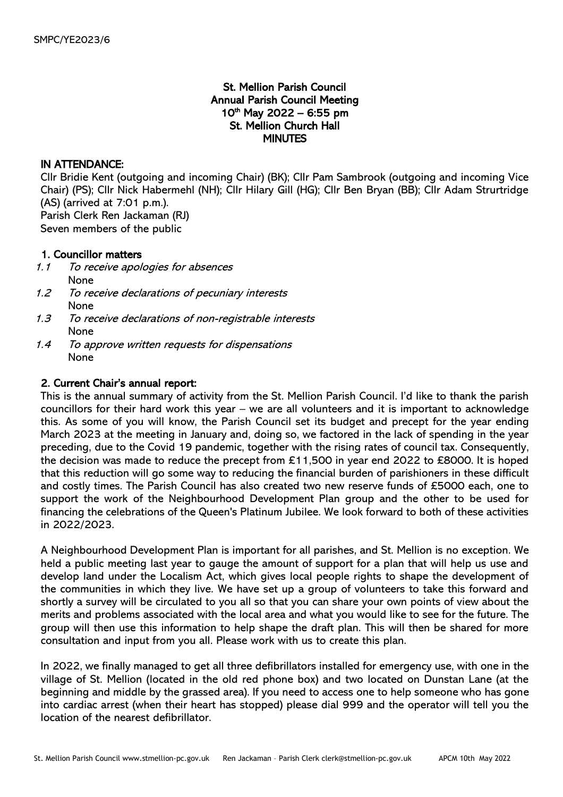# St. Mellion Parish Council Annual Parish Council Meeting  $10^{th}$  May 2022 – 6:55 pm St. Mellion Church Hall MINUTES

## IN ATTENDANCE:

Cllr Bridie Kent (outgoing and incoming Chair) (BK); Cllr Pam Sambrook (outgoing and incoming Vice Chair) (PS); Cllr Nick Habermehl (NH); Cllr Hilary Gill (HG); Cllr Ben Bryan (BB); Cllr Adam Strurtridge (AS) (arrived at 7:01 p.m.). Parish Clerk Ren Jackaman (RJ)

Seven members of the public

## 1. Councillor matters

- 1.1 To receive apologies for absences None
- 1.2 To receive declarations of pecuniary interests None
- 1.3 To receive declarations of non-registrable interests None
- 1.4 To approve written requests for dispensations None

## 2. Current Chair's annual report:

This is the annual summary of activity from the St. Mellion Parish Council. I'd like to thank the parish councillors for their hard work this year – we are all volunteers and it is important to acknowledge this. As some of you will know, the Parish Council set its budget and precept for the year ending March 2023 at the meeting in January and, doing so, we factored in the lack of spending in the year preceding, due to the Covid 19 pandemic, together with the rising rates of council tax. Consequently, the decision was made to reduce the precept from £11,500 in year end 2022 to £8000. It is hoped that this reduction will go some way to reducing the financial burden of parishioners in these difficult and costly times. The Parish Council has also created two new reserve funds of £5000 each, one to support the work of the Neighbourhood Development Plan group and the other to be used for financing the celebrations of the Queen's Platinum Jubilee. We look forward to both of these activities in 2022/2023.

A Neighbourhood Development Plan is important for all parishes, and St. Mellion is no exception. We held a public meeting last year to gauge the amount of support for a plan that will help us use and develop land under the Localism Act, which gives local people rights to shape the development of the communities in which they live. We have set up a group of volunteers to take this forward and shortly a survey will be circulated to you all so that you can share your own points of view about the merits and problems associated with the local area and what you would like to see for the future. The group will then use this information to help shape the draft plan. This will then be shared for more consultation and input from you all. Please work with us to create this plan.

In 2022, we finally managed to get all three defibrillators installed for emergency use, with one in the village of St. Mellion (located in the old red phone box) and two located on Dunstan Lane (at the beginning and middle by the grassed area). If you need to access one to help someone who has gone into cardiac arrest (when their heart has stopped) please dial 999 and the operator will tell you the location of the nearest defibrillator.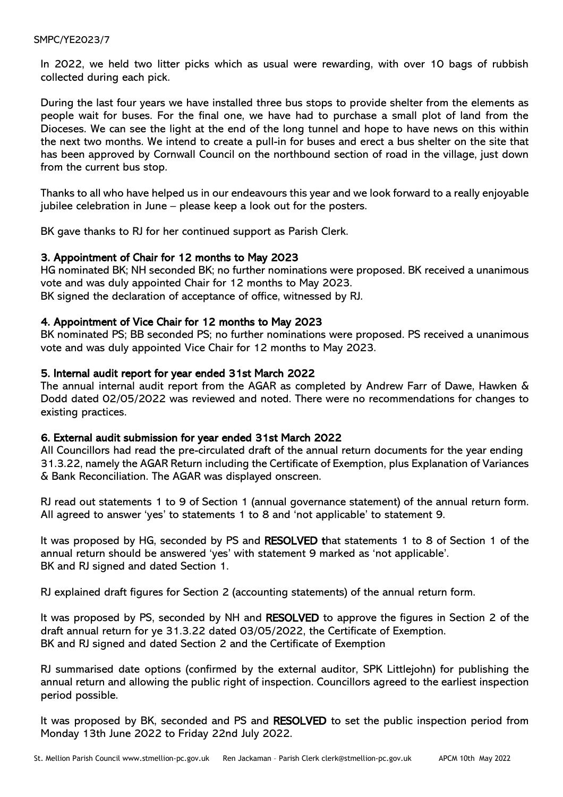#### SMPC/YE2023/7

In 2022, we held two litter picks which as usual were rewarding, with over 10 bags of rubbish collected during each pick.

During the last four years we have installed three bus stops to provide shelter from the elements as people wait for buses. For the final one, we have had to purchase a small plot of land from the Dioceses. We can see the light at the end of the long tunnel and hope to have news on this within the next two months. We intend to create a pull-in for buses and erect a bus shelter on the site that has been approved by Cornwall Council on the northbound section of road in the village, just down from the current bus stop.

Thanks to all who have helped us in our endeavours this year and we look forward to a really enjoyable jubilee celebration in June – please keep a look out for the posters.

BK gave thanks to RJ for her continued support as Parish Clerk.

## 3. Appointment of Chair for 12 months to May 2023

HG nominated BK; NH seconded BK; no further nominations were proposed. BK received a unanimous vote and was duly appointed Chair for 12 months to May 2023. BK signed the declaration of acceptance of office, witnessed by RJ.

## 4. Appointment of Vice Chair for 12 months to May 2023

BK nominated PS; BB seconded PS; no further nominations were proposed. PS received a unanimous vote and was duly appointed Vice Chair for 12 months to May 2023.

#### 5. Internal audit report for year ended 31st March 2022

The annual internal audit report from the AGAR as completed by Andrew Farr of Dawe, Hawken & Dodd dated 02/05/2022 was reviewed and noted. There were no recommendations for changes to existing practices.

#### 6. External audit submission for year ended 31st March 2022

All Councillors had read the pre-circulated draft of the annual return documents for the year ending 31.3.22, namely the AGAR Return including the Certificate of Exemption, plus Explanation of Variances & Bank Reconciliation. The AGAR was displayed onscreen.

RJ read out statements 1 to 9 of Section 1 (annual governance statement) of the annual return form. All agreed to answer 'yes' to statements 1 to 8 and 'not applicable' to statement 9.

It was proposed by HG, seconded by PS and RESOLVED that statements 1 to 8 of Section 1 of the annual return should be answered 'yes' with statement 9 marked as 'not applicable'. BK and RJ signed and dated Section 1.

RJ explained draft figures for Section 2 (accounting statements) of the annual return form.

It was proposed by PS, seconded by NH and RESOLVED to approve the figures in Section 2 of the draft annual return for ye 31.3.22 dated 03/05/2022, the Certificate of Exemption. BK and RJ signed and dated Section 2 and the Certificate of Exemption

RJ summarised date options (confirmed by the external auditor, SPK Littlejohn) for publishing the annual return and allowing the public right of inspection. Councillors agreed to the earliest inspection period possible.

It was proposed by BK, seconded and PS and RESOLVED to set the public inspection period from Monday 13th June 2022 to Friday 22nd July 2022.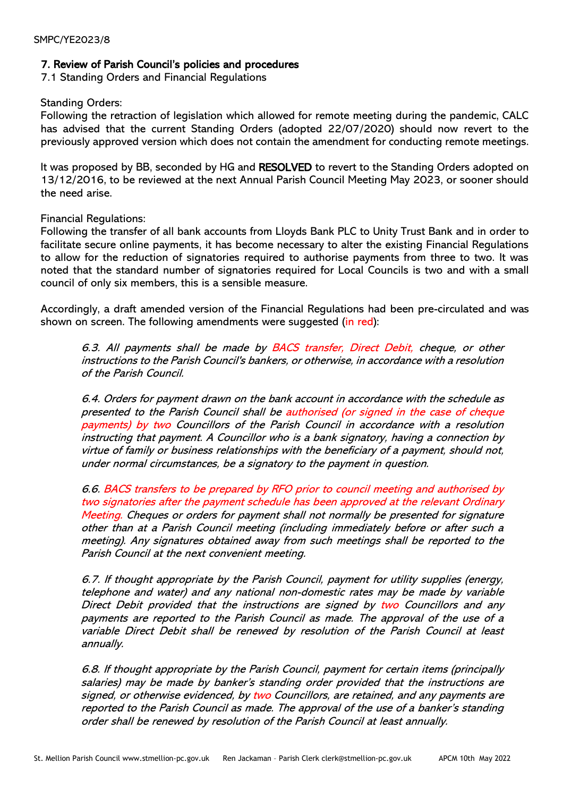## 7. Review of Parish Council's policies and procedures

7.1 Standing Orders and Financial Regulations

#### Standing Orders:

Following the retraction of legislation which allowed for remote meeting during the pandemic, CALC has advised that the current Standing Orders (adopted 22/07/2020) should now revert to the previously approved version which does not contain the amendment for conducting remote meetings.

It was proposed by BB, seconded by HG and RESOLVED to revert to the Standing Orders adopted on 13/12/2016, to be reviewed at the next Annual Parish Council Meeting May 2023, or sooner should the need arise.

## Financial Regulations:

Following the transfer of all bank accounts from Lloyds Bank PLC to Unity Trust Bank and in order to facilitate secure online payments, it has become necessary to alter the existing Financial Regulations to allow for the reduction of signatories required to authorise payments from three to two. It was noted that the standard number of signatories required for Local Councils is two and with a small council of only six members, this is a sensible measure.

Accordingly, a draft amended version of the Financial Regulations had been pre-circulated and was shown on screen. The following amendments were suggested (in red):

6.3. All payments shall be made by BACS transfer, Direct Debit, cheque, or other instructions to the Parish Council's bankers, or otherwise, in accordance with a resolution of the Parish Council.

6.4. Orders for payment drawn on the bank account in accordance with the schedule as presented to the Parish Council shall be authorised (or signed in the case of cheque payments) by two Councillors of the Parish Council in accordance with a resolution instructing that payment. A Councillor who is a bank signatory, having a connection by virtue of family or business relationships with the beneficiary of a payment, should not, under normal circumstances, be a signatory to the payment in question.

6.6. BACS transfers to be prepared by RFO prior to council meeting and authorised by two signatories after the payment schedule has been approved at the relevant Ordinary Meeting. Cheques or orders for payment shall not normally be presented for signature other than at a Parish Council meeting (including immediately before or after such a meeting). Any signatures obtained away from such meetings shall be reported to the Parish Council at the next convenient meeting.

6.7. If thought appropriate by the Parish Council, payment for utility supplies (energy, telephone and water) and any national non-domestic rates may be made by variable Direct Debit provided that the instructions are signed by two Councillors and any payments are reported to the Parish Council as made. The approval of the use of a variable Direct Debit shall be renewed by resolution of the Parish Council at least annually.

6.8. If thought appropriate by the Parish Council, payment for certain items (principally salaries) may be made by banker's standing order provided that the instructions are signed, or otherwise evidenced, by two Councillors, are retained, and any payments are reported to the Parish Council as made. The approval of the use of a banker's standing order shall be renewed by resolution of the Parish Council at least annually.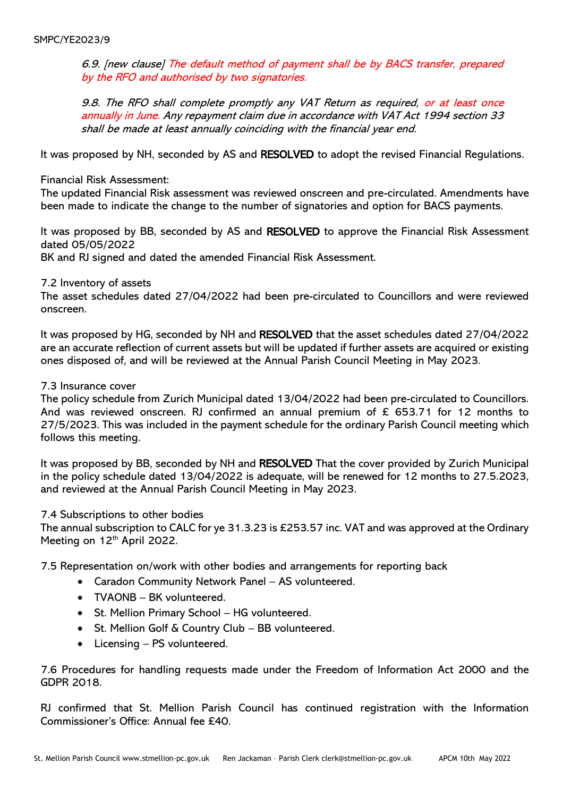6.9. [new clause] The default method of payment shall be by BACS transfer, prepared by the RFO and authorised by two signatories.

9.8. The RFO shall complete promptly any VAT Return as required, or at least once annually in June. Any repayment claim due in accordance with VAT Act 1994 section 33 shall be made at least annually coinciding with the financial year end.

It was proposed by NH, seconded by AS and RESOLVED to adopt the revised Financial Regulations.

Financial Risk Assessment:

The updated Financial Risk assessment was reviewed onscreen and pre-circulated. Amendments have been made to indicate the change to the number of signatories and option for BACS payments.

It was proposed by BB, seconded by AS and RESOLVED to approve the Financial Risk Assessment dated 05/05/2022

BK and RJ signed and dated the amended Financial Risk Assessment.

7.2 Inventory of assets

The asset schedules dated 27/04/2022 had been pre-circulated to Councillors and were reviewed onscreen.

It was proposed by HG, seconded by NH and RESOLVED that the asset schedules dated 27/04/2022 are an accurate reflection of current assets but will be updated if further assets are acquired or existing ones disposed of, and will be reviewed at the Annual Parish Council Meeting in May 2023.

#### 7.3 Insurance cover

The policy schedule from Zurich Municipal dated 13/04/2022 had been pre-circulated to Councillors. And was reviewed onscreen. RJ confirmed an annual premium of  $\epsilon$  653.71 for 12 months to 27/5/2023. This was included in the payment schedule for the ordinary Parish Council meeting which follows this meeting.

It was proposed by BB, seconded by NH and RESOLVED That the cover provided by Zurich Municipal in the policy schedule dated 13/04/2022 is adequate, will be renewed for 12 months to 27.5.2023, and reviewed at the Annual Parish Council Meeting in May 2023.

#### 7.4 Subscriptions to other bodies

The annual subscription to CALC for ye 31.3.23 is £253.57 inc. VAT and was approved at the Ordinary Meeting on 12<sup>th</sup> April 2022.

7.5 Representation on/work with other bodies and arrangements for reporting back

- Caradon Community Network Panel AS volunteered.
- TVAONB BK volunteered.
- St. Mellion Primary School HG volunteered.
- St. Mellion Golf & Country Club BB volunteered.
- Licensing PS volunteered.

7.6 Procedures for handling requests made under the Freedom of Information Act 2000 and the GDPR 2018.

RJ confirmed that St. Mellion Parish Council has continued registration with the Information Commissioner's Office: Annual fee £40.